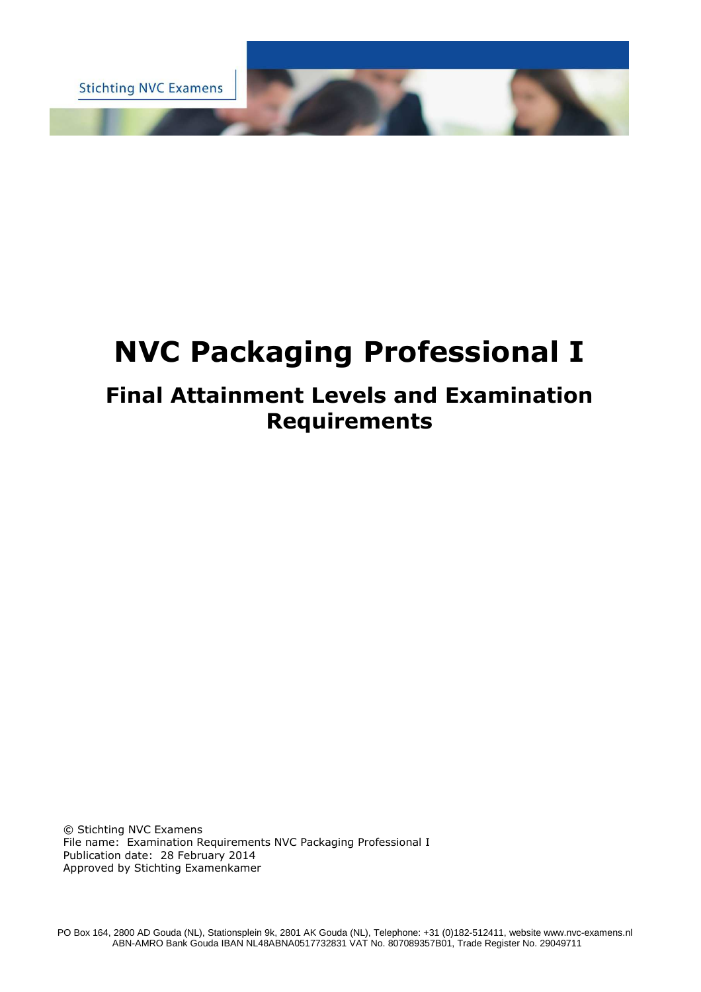**Stichting NVC Examens** 

# **NVC Packaging Professional I**

## **Final Attainment Levels and Examination Requirements**

© Stichting NVC Examens File name: Examination Requirements NVC Packaging Professional I Publication date: 28 February 2014 Approved by Stichting Examenkamer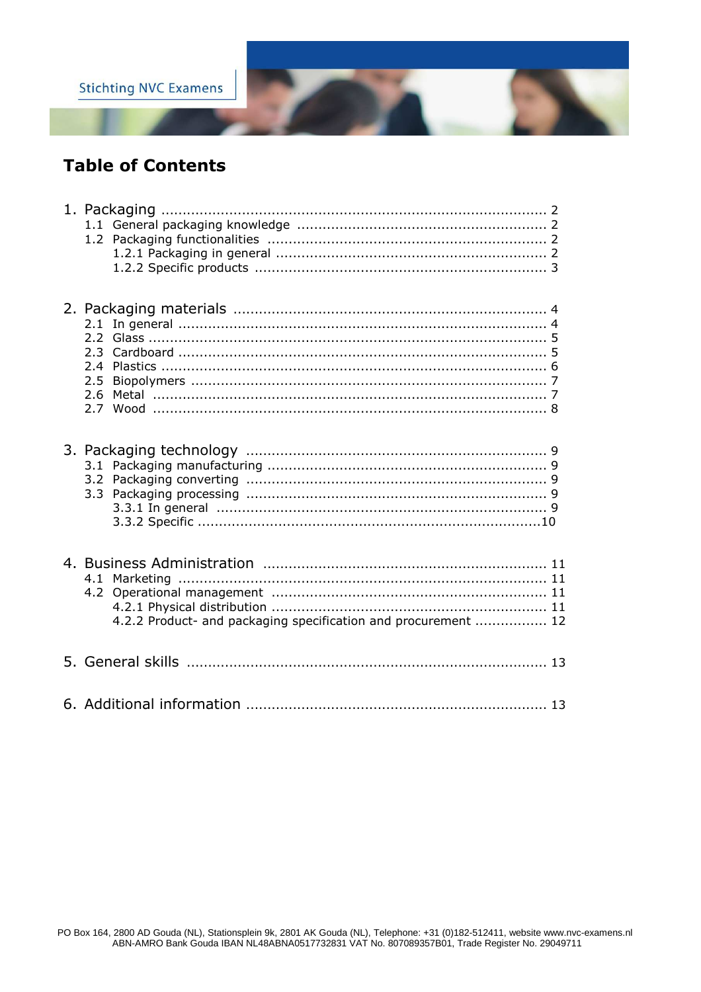

## **Table of Contents**

| 2.5<br>2.7                                                     |  |
|----------------------------------------------------------------|--|
|                                                                |  |
| 4.2.2 Product- and packaging specification and procurement  12 |  |
|                                                                |  |
|                                                                |  |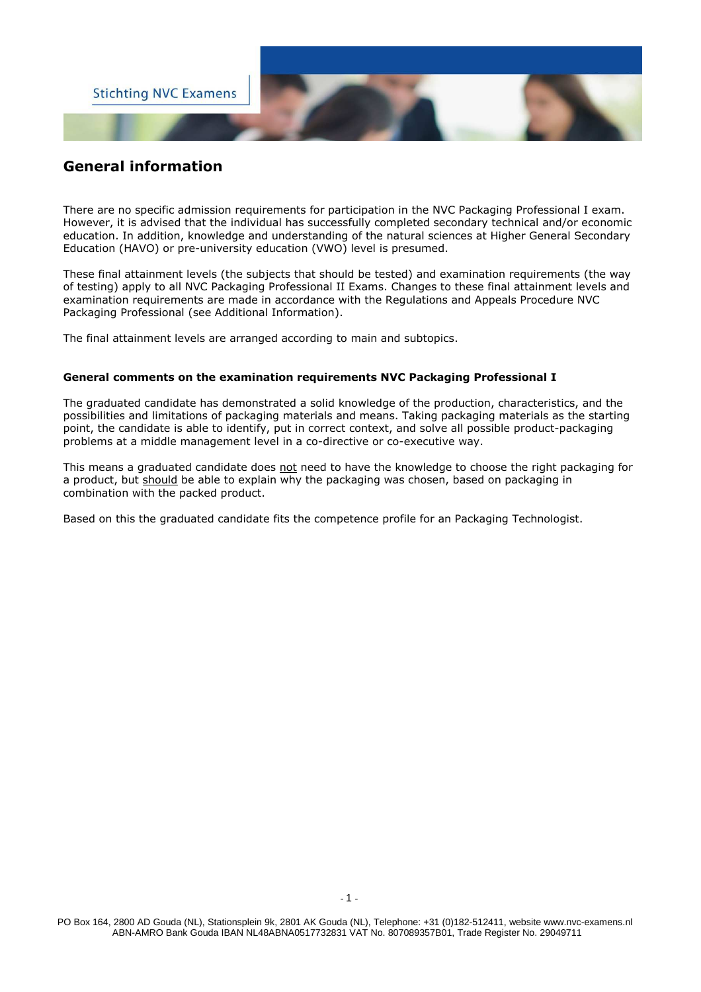

## **General information**

There are no specific admission requirements for participation in the NVC Packaging Professional I exam. However, it is advised that the individual has successfully completed secondary technical and/or economic education. In addition, knowledge and understanding of the natural sciences at Higher General Secondary Education (HAVO) or pre-university education (VWO) level is presumed.

These final attainment levels (the subjects that should be tested) and examination requirements (the way of testing) apply to all NVC Packaging Professional II Exams. Changes to these final attainment levels and examination requirements are made in accordance with the Regulations and Appeals Procedure NVC Packaging Professional (see Additional Information).

The final attainment levels are arranged according to main and subtopics.

#### **General comments on the examination requirements NVC Packaging Professional I**

The graduated candidate has demonstrated a solid knowledge of the production, characteristics, and the possibilities and limitations of packaging materials and means. Taking packaging materials as the starting point, the candidate is able to identify, put in correct context, and solve all possible product-packaging problems at a middle management level in a co-directive or co-executive way.

This means a graduated candidate does not need to have the knowledge to choose the right packaging for a product, but should be able to explain why the packaging was chosen, based on packaging in combination with the packed product.

Based on this the graduated candidate fits the competence profile for an Packaging Technologist.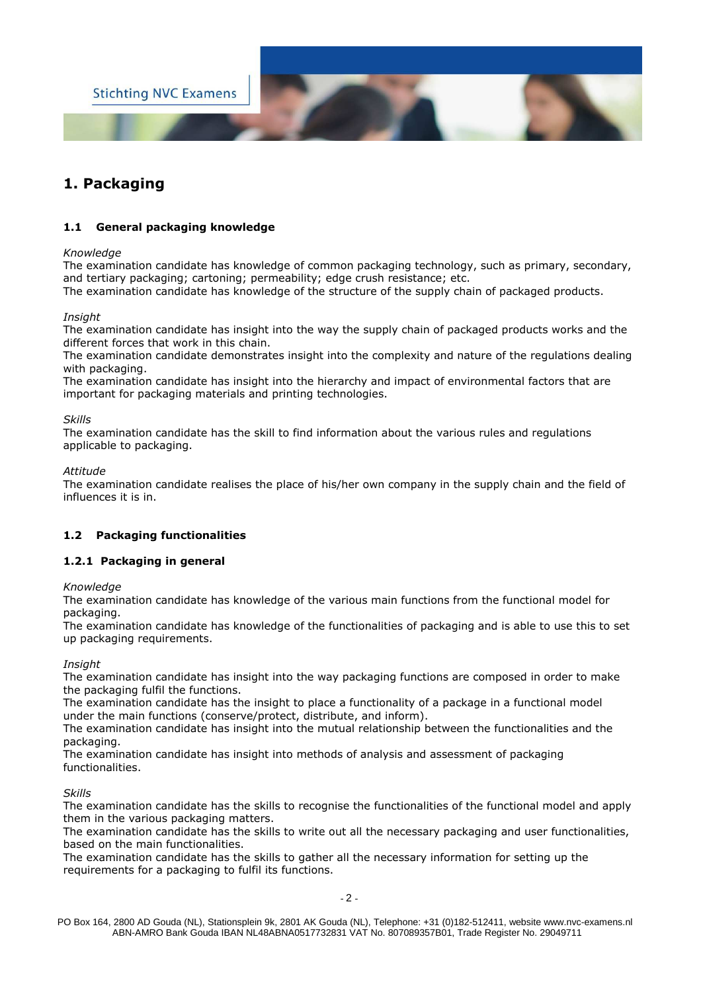

## **1. Packaging**

#### **1.1 General packaging knowledge**

#### *Knowledge*

The examination candidate has knowledge of common packaging technology, such as primary, secondary, and tertiary packaging; cartoning; permeability; edge crush resistance; etc.

The examination candidate has knowledge of the structure of the supply chain of packaged products.

#### *Insight*

The examination candidate has insight into the way the supply chain of packaged products works and the different forces that work in this chain.

The examination candidate demonstrates insight into the complexity and nature of the regulations dealing with packaging.

The examination candidate has insight into the hierarchy and impact of environmental factors that are important for packaging materials and printing technologies.

#### *Skills*

The examination candidate has the skill to find information about the various rules and regulations applicable to packaging.

#### *Attitude*

The examination candidate realises the place of his/her own company in the supply chain and the field of influences it is in.

#### **1.2 Packaging functionalities**

#### **1.2.1 Packaging in general**

#### *Knowledge*

The examination candidate has knowledge of the various main functions from the functional model for packaging.

The examination candidate has knowledge of the functionalities of packaging and is able to use this to set up packaging requirements.

#### *Insight*

The examination candidate has insight into the way packaging functions are composed in order to make the packaging fulfil the functions.

The examination candidate has the insight to place a functionality of a package in a functional model under the main functions (conserve/protect, distribute, and inform).

The examination candidate has insight into the mutual relationship between the functionalities and the packaging.

The examination candidate has insight into methods of analysis and assessment of packaging functionalities.

#### *Skills*

The examination candidate has the skills to recognise the functionalities of the functional model and apply them in the various packaging matters.

The examination candidate has the skills to write out all the necessary packaging and user functionalities, based on the main functionalities.

The examination candidate has the skills to gather all the necessary information for setting up the requirements for a packaging to fulfil its functions.

PO Box 164, 2800 AD Gouda (NL), Stationsplein 9k, 2801 AK Gouda (NL), Telephone: +31 (0)182-512411, website www.nvc-examens.nl ABN-AMRO Bank Gouda IBAN NL48ABNA0517732831 VAT No. 807089357B01, Trade Register No. 29049711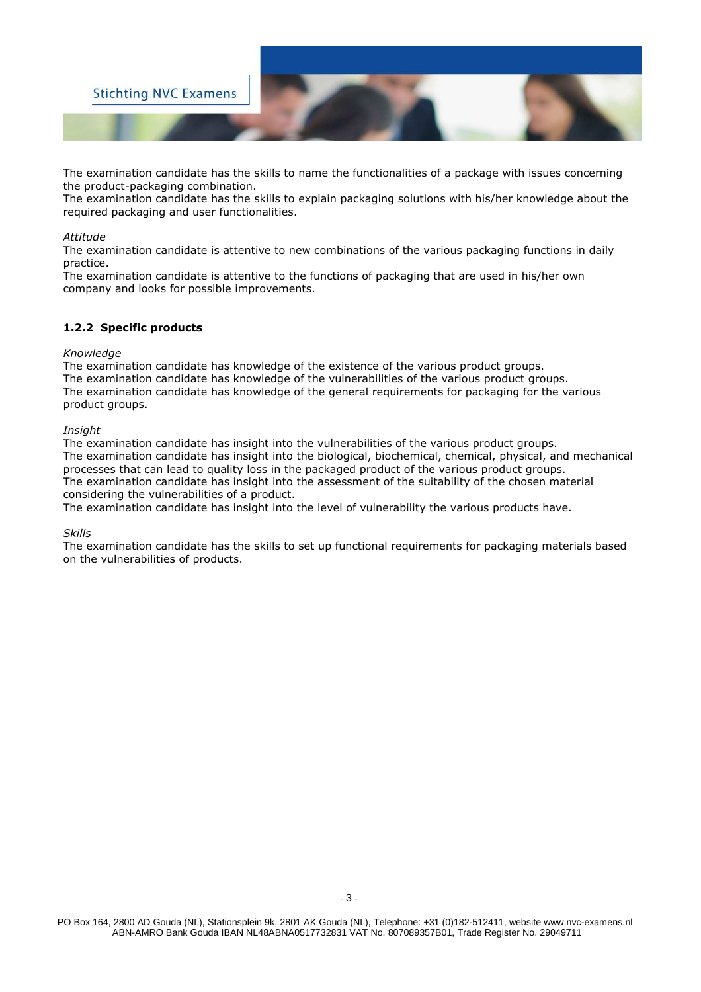

The examination candidate has the skills to name the functionalities of a package with issues concerning the product-packaging combination.

The examination candidate has the skills to explain packaging solutions with his/her knowledge about the required packaging and user functionalities.

#### *Attitude*

The examination candidate is attentive to new combinations of the various packaging functions in daily practice.

The examination candidate is attentive to the functions of packaging that are used in his/her own company and looks for possible improvements.

#### **1.2.2 Specific products**

#### *Knowledge*

The examination candidate has knowledge of the existence of the various product groups. The examination candidate has knowledge of the vulnerabilities of the various product groups. The examination candidate has knowledge of the general requirements for packaging for the various product groups.

#### *Insight*

The examination candidate has insight into the vulnerabilities of the various product groups. The examination candidate has insight into the biological, biochemical, chemical, physical, and mechanical processes that can lead to quality loss in the packaged product of the various product groups. The examination candidate has insight into the assessment of the suitability of the chosen material considering the vulnerabilities of a product.

The examination candidate has insight into the level of vulnerability the various products have.

#### *Skills*

The examination candidate has the skills to set up functional requirements for packaging materials based on the vulnerabilities of products.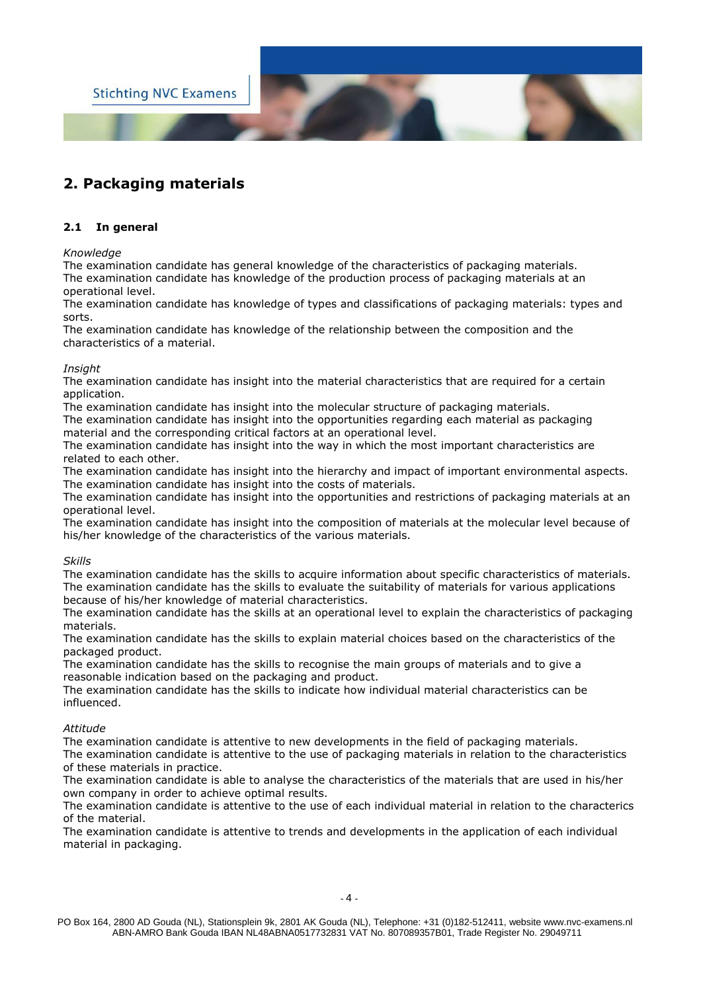

## **2. Packaging materials**

#### **2.1 In general**

#### *Knowledge*

The examination candidate has general knowledge of the characteristics of packaging materials. The examination candidate has knowledge of the production process of packaging materials at an operational level.

The examination candidate has knowledge of types and classifications of packaging materials: types and sorts.

The examination candidate has knowledge of the relationship between the composition and the characteristics of a material.

#### *Insight*

The examination candidate has insight into the material characteristics that are required for a certain application.

The examination candidate has insight into the molecular structure of packaging materials.

The examination candidate has insight into the opportunities regarding each material as packaging material and the corresponding critical factors at an operational level.

The examination candidate has insight into the way in which the most important characteristics are related to each other.

The examination candidate has insight into the hierarchy and impact of important environmental aspects. The examination candidate has insight into the costs of materials.

The examination candidate has insight into the opportunities and restrictions of packaging materials at an operational level.

The examination candidate has insight into the composition of materials at the molecular level because of his/her knowledge of the characteristics of the various materials.

#### *Skills*

The examination candidate has the skills to acquire information about specific characteristics of materials. The examination candidate has the skills to evaluate the suitability of materials for various applications because of his/her knowledge of material characteristics.

The examination candidate has the skills at an operational level to explain the characteristics of packaging materials.

The examination candidate has the skills to explain material choices based on the characteristics of the packaged product.

The examination candidate has the skills to recognise the main groups of materials and to give a reasonable indication based on the packaging and product.

The examination candidate has the skills to indicate how individual material characteristics can be influenced.

#### *Attitude*

The examination candidate is attentive to new developments in the field of packaging materials. The examination candidate is attentive to the use of packaging materials in relation to the characteristics of these materials in practice.

The examination candidate is able to analyse the characteristics of the materials that are used in his/her own company in order to achieve optimal results.

The examination candidate is attentive to the use of each individual material in relation to the characterics of the material.

The examination candidate is attentive to trends and developments in the application of each individual material in packaging.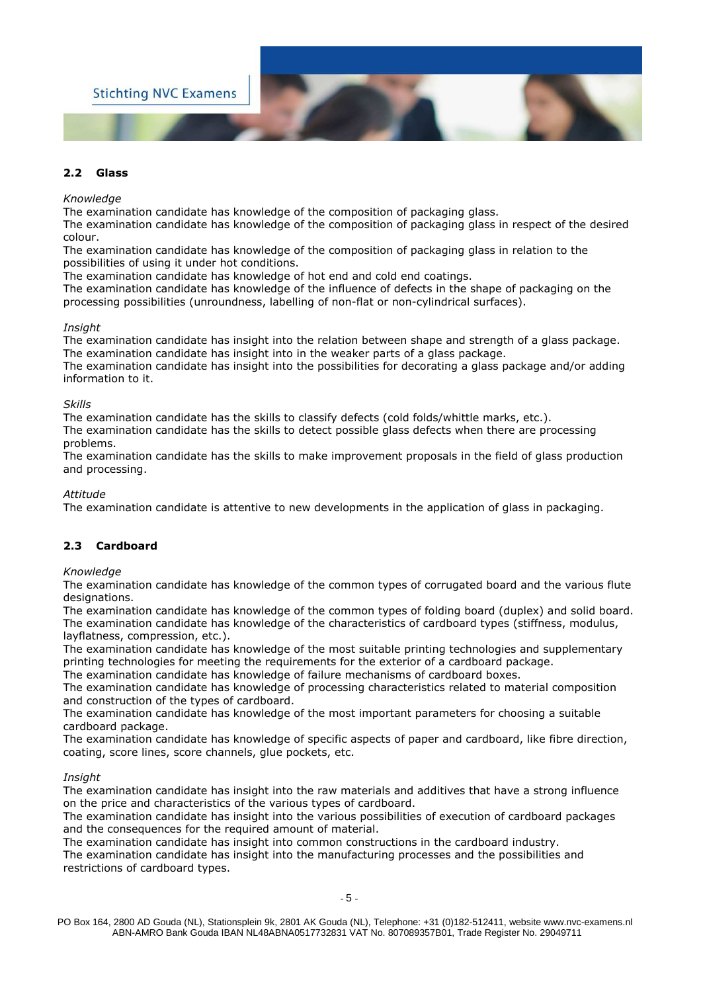

#### **2.2 Glass**

#### *Knowledge*

The examination candidate has knowledge of the composition of packaging glass.

The examination candidate has knowledge of the composition of packaging glass in respect of the desired colour.

The examination candidate has knowledge of the composition of packaging glass in relation to the possibilities of using it under hot conditions.

The examination candidate has knowledge of hot end and cold end coatings.

The examination candidate has knowledge of the influence of defects in the shape of packaging on the processing possibilities (unroundness, labelling of non-flat or non-cylindrical surfaces).

#### *Insight*

The examination candidate has insight into the relation between shape and strength of a glass package. The examination candidate has insight into in the weaker parts of a glass package.

The examination candidate has insight into the possibilities for decorating a glass package and/or adding information to it.

#### *Skills*

The examination candidate has the skills to classify defects (cold folds/whittle marks, etc.).

The examination candidate has the skills to detect possible glass defects when there are processing problems.

The examination candidate has the skills to make improvement proposals in the field of glass production and processing.

*Attitude* 

The examination candidate is attentive to new developments in the application of glass in packaging.

#### **2.3 Cardboard**

#### *Knowledge*

The examination candidate has knowledge of the common types of corrugated board and the various flute designations.

The examination candidate has knowledge of the common types of folding board (duplex) and solid board. The examination candidate has knowledge of the characteristics of cardboard types (stiffness, modulus, layflatness, compression, etc.).

The examination candidate has knowledge of the most suitable printing technologies and supplementary printing technologies for meeting the requirements for the exterior of a cardboard package.

The examination candidate has knowledge of failure mechanisms of cardboard boxes.

The examination candidate has knowledge of processing characteristics related to material composition and construction of the types of cardboard.

The examination candidate has knowledge of the most important parameters for choosing a suitable cardboard package.

The examination candidate has knowledge of specific aspects of paper and cardboard, like fibre direction, coating, score lines, score channels, glue pockets, etc.

#### *Insight*

The examination candidate has insight into the raw materials and additives that have a strong influence on the price and characteristics of the various types of cardboard.

The examination candidate has insight into the various possibilities of execution of cardboard packages and the consequences for the required amount of material.

The examination candidate has insight into common constructions in the cardboard industry.

The examination candidate has insight into the manufacturing processes and the possibilities and restrictions of cardboard types.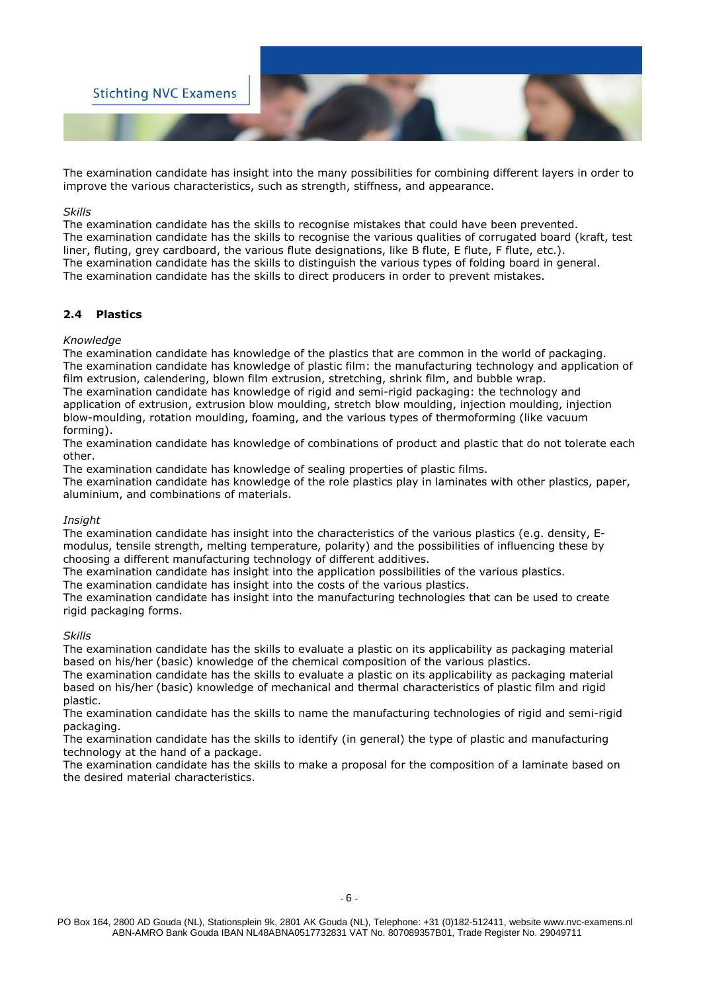

The examination candidate has insight into the many possibilities for combining different layers in order to improve the various characteristics, such as strength, stiffness, and appearance.

#### *Skills*

The examination candidate has the skills to recognise mistakes that could have been prevented. The examination candidate has the skills to recognise the various qualities of corrugated board (kraft, test liner, fluting, grey cardboard, the various flute designations, like B flute, E flute, F flute, etc.). The examination candidate has the skills to distinguish the various types of folding board in general. The examination candidate has the skills to direct producers in order to prevent mistakes.

#### **2.4 Plastics**

#### *Knowledge*

The examination candidate has knowledge of the plastics that are common in the world of packaging. The examination candidate has knowledge of plastic film: the manufacturing technology and application of film extrusion, calendering, blown film extrusion, stretching, shrink film, and bubble wrap.

The examination candidate has knowledge of rigid and semi-rigid packaging: the technology and application of extrusion, extrusion blow moulding, stretch blow moulding, injection moulding, injection blow-moulding, rotation moulding, foaming, and the various types of thermoforming (like vacuum forming).

The examination candidate has knowledge of combinations of product and plastic that do not tolerate each other.

The examination candidate has knowledge of sealing properties of plastic films.

The examination candidate has knowledge of the role plastics play in laminates with other plastics, paper, aluminium, and combinations of materials.

#### *Insight*

The examination candidate has insight into the characteristics of the various plastics (e.g. density, Emodulus, tensile strength, melting temperature, polarity) and the possibilities of influencing these by choosing a different manufacturing technology of different additives.

The examination candidate has insight into the application possibilities of the various plastics.

The examination candidate has insight into the costs of the various plastics.

The examination candidate has insight into the manufacturing technologies that can be used to create rigid packaging forms.

#### *Skills*

The examination candidate has the skills to evaluate a plastic on its applicability as packaging material based on his/her (basic) knowledge of the chemical composition of the various plastics.

The examination candidate has the skills to evaluate a plastic on its applicability as packaging material based on his/her (basic) knowledge of mechanical and thermal characteristics of plastic film and rigid plastic.

The examination candidate has the skills to name the manufacturing technologies of rigid and semi-rigid packaging.

The examination candidate has the skills to identify (in general) the type of plastic and manufacturing technology at the hand of a package.

The examination candidate has the skills to make a proposal for the composition of a laminate based on the desired material characteristics.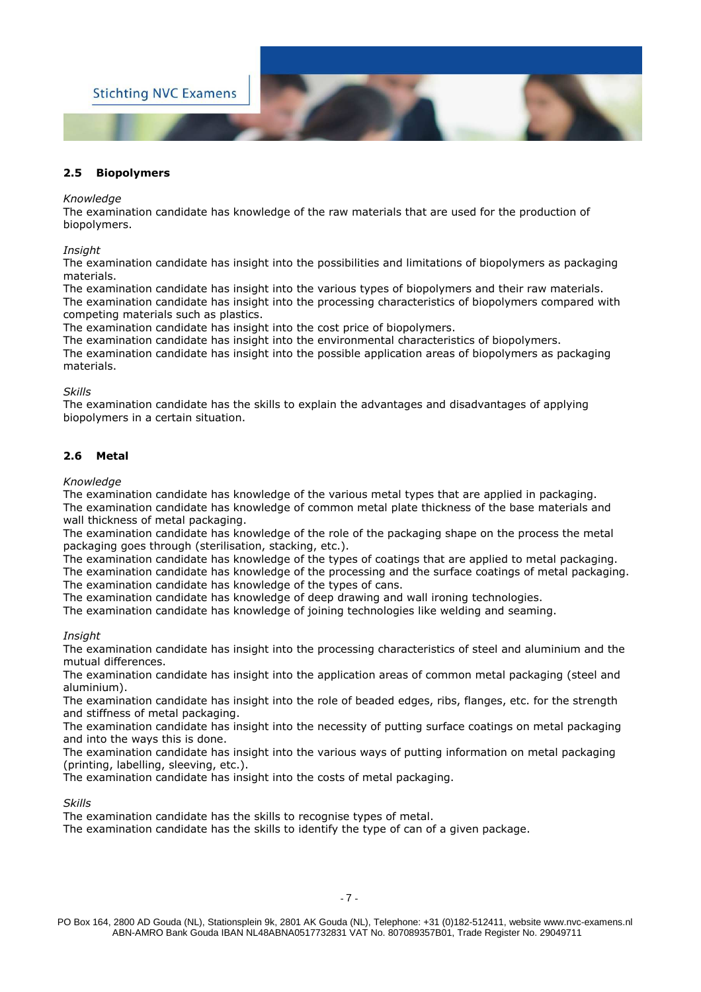

#### **2.5 Biopolymers**

#### *Knowledge*

The examination candidate has knowledge of the raw materials that are used for the production of biopolymers.

*Insight* 

The examination candidate has insight into the possibilities and limitations of biopolymers as packaging materials.

The examination candidate has insight into the various types of biopolymers and their raw materials. The examination candidate has insight into the processing characteristics of biopolymers compared with competing materials such as plastics.

The examination candidate has insight into the cost price of biopolymers.

The examination candidate has insight into the environmental characteristics of biopolymers. The examination candidate has insight into the possible application areas of biopolymers as packaging materials.

#### *Skills*

The examination candidate has the skills to explain the advantages and disadvantages of applying biopolymers in a certain situation.

#### **2.6 Metal**

#### *Knowledge*

The examination candidate has knowledge of the various metal types that are applied in packaging. The examination candidate has knowledge of common metal plate thickness of the base materials and wall thickness of metal packaging.

The examination candidate has knowledge of the role of the packaging shape on the process the metal packaging goes through (sterilisation, stacking, etc.).

The examination candidate has knowledge of the types of coatings that are applied to metal packaging. The examination candidate has knowledge of the processing and the surface coatings of metal packaging. The examination candidate has knowledge of the types of cans.

The examination candidate has knowledge of deep drawing and wall ironing technologies.

The examination candidate has knowledge of joining technologies like welding and seaming.

#### *Insight*

The examination candidate has insight into the processing characteristics of steel and aluminium and the mutual differences.

The examination candidate has insight into the application areas of common metal packaging (steel and aluminium).

The examination candidate has insight into the role of beaded edges, ribs, flanges, etc. for the strength and stiffness of metal packaging.

The examination candidate has insight into the necessity of putting surface coatings on metal packaging and into the ways this is done.

The examination candidate has insight into the various ways of putting information on metal packaging (printing, labelling, sleeving, etc.).

The examination candidate has insight into the costs of metal packaging.

#### *Skills*

The examination candidate has the skills to recognise types of metal.

The examination candidate has the skills to identify the type of can of a given package.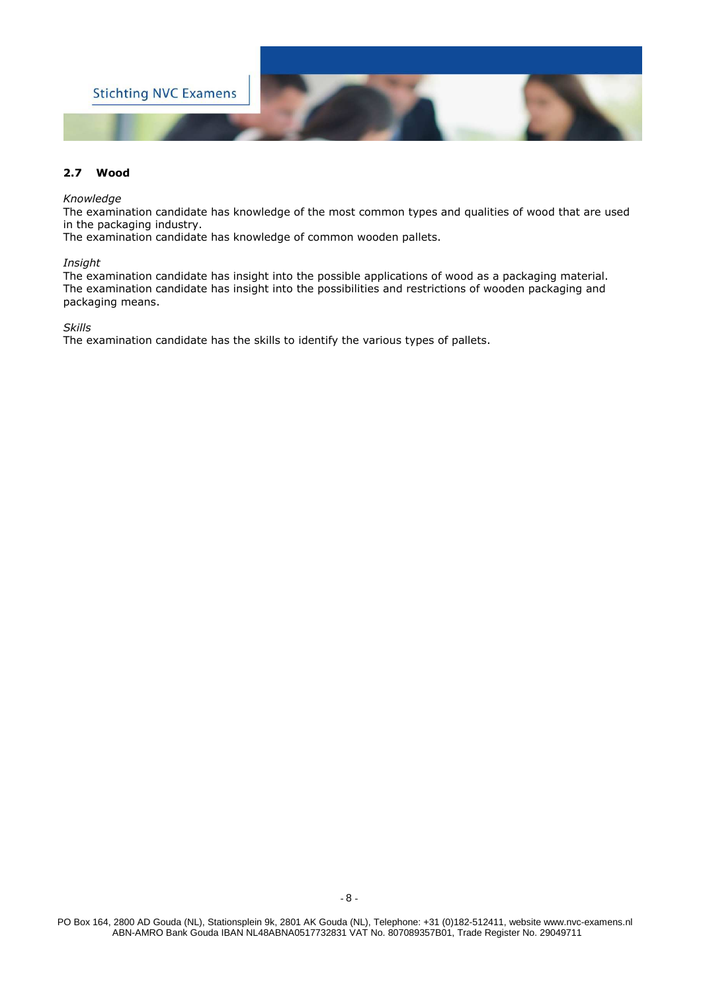

#### **2.7 Wood**

#### *Knowledge*

The examination candidate has knowledge of the most common types and qualities of wood that are used in the packaging industry.

The examination candidate has knowledge of common wooden pallets.

#### *Insight*

The examination candidate has insight into the possible applications of wood as a packaging material. The examination candidate has insight into the possibilities and restrictions of wooden packaging and packaging means.

*Skills* 

The examination candidate has the skills to identify the various types of pallets.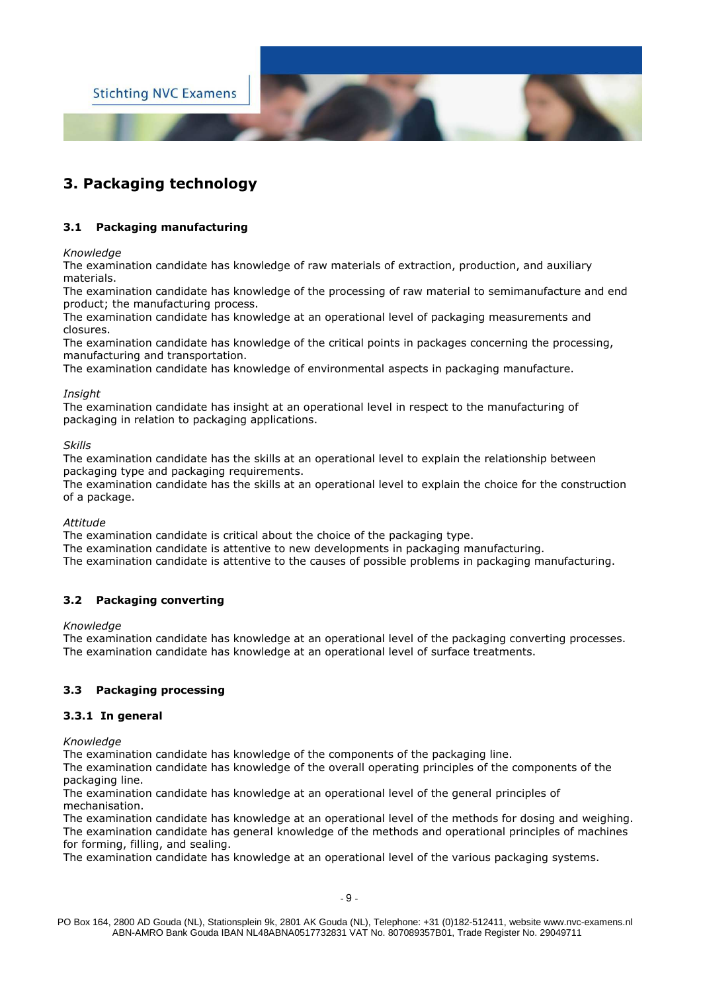

## **3. Packaging technology**

#### **3.1 Packaging manufacturing**

*Knowledge* 

The examination candidate has knowledge of raw materials of extraction, production, and auxiliary materials.

The examination candidate has knowledge of the processing of raw material to semimanufacture and end product; the manufacturing process.

The examination candidate has knowledge at an operational level of packaging measurements and closures.

The examination candidate has knowledge of the critical points in packages concerning the processing, manufacturing and transportation.

The examination candidate has knowledge of environmental aspects in packaging manufacture.

#### *Insight*

The examination candidate has insight at an operational level in respect to the manufacturing of packaging in relation to packaging applications.

#### *Skills*

The examination candidate has the skills at an operational level to explain the relationship between packaging type and packaging requirements.

The examination candidate has the skills at an operational level to explain the choice for the construction of a package.

#### *Attitude*

The examination candidate is critical about the choice of the packaging type.

The examination candidate is attentive to new developments in packaging manufacturing.

The examination candidate is attentive to the causes of possible problems in packaging manufacturing.

#### **3.2 Packaging converting**

#### *Knowledge*

The examination candidate has knowledge at an operational level of the packaging converting processes. The examination candidate has knowledge at an operational level of surface treatments.

#### **3.3 Packaging processing**

#### **3.3.1 In general**

*Knowledge* 

The examination candidate has knowledge of the components of the packaging line.

The examination candidate has knowledge of the overall operating principles of the components of the packaging line.

The examination candidate has knowledge at an operational level of the general principles of mechanisation.

The examination candidate has knowledge at an operational level of the methods for dosing and weighing. The examination candidate has general knowledge of the methods and operational principles of machines for forming, filling, and sealing.

The examination candidate has knowledge at an operational level of the various packaging systems.

PO Box 164, 2800 AD Gouda (NL), Stationsplein 9k, 2801 AK Gouda (NL), Telephone: +31 (0)182-512411, website www.nvc-examens.nl ABN-AMRO Bank Gouda IBAN NL48ABNA0517732831 VAT No. 807089357B01, Trade Register No. 29049711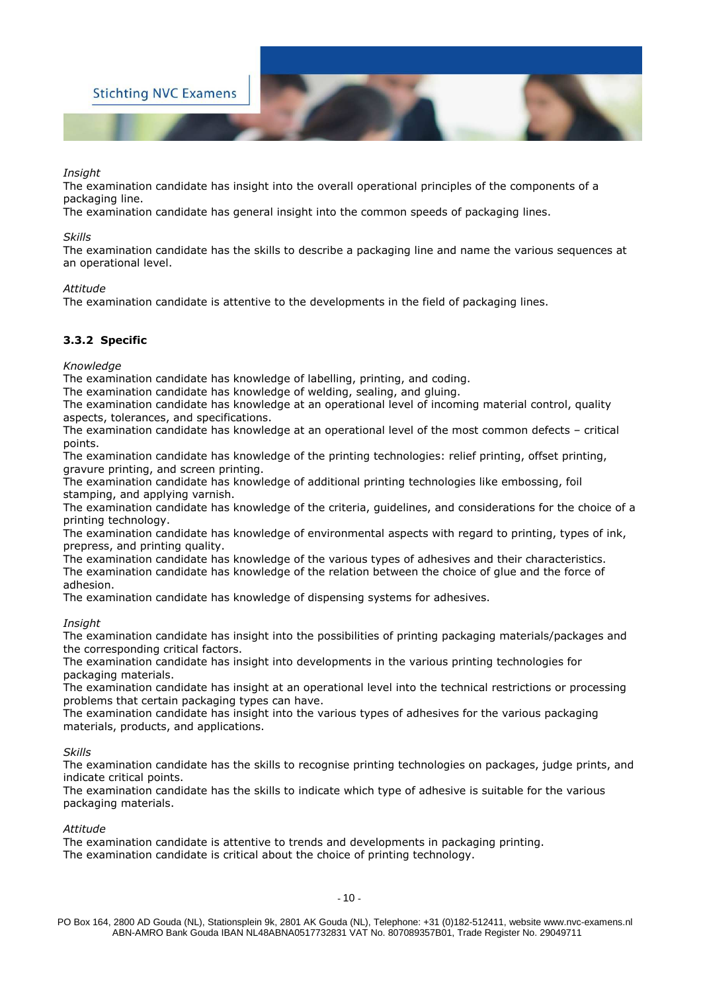

*Insight* 

The examination candidate has insight into the overall operational principles of the components of a packaging line.

The examination candidate has general insight into the common speeds of packaging lines.

#### *Skills*

The examination candidate has the skills to describe a packaging line and name the various sequences at an operational level.

#### *Attitude*

The examination candidate is attentive to the developments in the field of packaging lines.

#### **3.3.2 Specific**

*Knowledge* 

The examination candidate has knowledge of labelling, printing, and coding.

The examination candidate has knowledge of welding, sealing, and gluing.

The examination candidate has knowledge at an operational level of incoming material control, quality aspects, tolerances, and specifications.

The examination candidate has knowledge at an operational level of the most common defects – critical points.

The examination candidate has knowledge of the printing technologies: relief printing, offset printing, gravure printing, and screen printing.

The examination candidate has knowledge of additional printing technologies like embossing, foil stamping, and applying varnish.

The examination candidate has knowledge of the criteria, guidelines, and considerations for the choice of a printing technology.

The examination candidate has knowledge of environmental aspects with regard to printing, types of ink, prepress, and printing quality.

The examination candidate has knowledge of the various types of adhesives and their characteristics. The examination candidate has knowledge of the relation between the choice of glue and the force of adhesion.

The examination candidate has knowledge of dispensing systems for adhesives.

#### *Insight*

The examination candidate has insight into the possibilities of printing packaging materials/packages and the corresponding critical factors.

The examination candidate has insight into developments in the various printing technologies for packaging materials.

The examination candidate has insight at an operational level into the technical restrictions or processing problems that certain packaging types can have.

The examination candidate has insight into the various types of adhesives for the various packaging materials, products, and applications.

#### *Skills*

The examination candidate has the skills to recognise printing technologies on packages, judge prints, and indicate critical points.

The examination candidate has the skills to indicate which type of adhesive is suitable for the various packaging materials.

*Attitude*

The examination candidate is attentive to trends and developments in packaging printing. The examination candidate is critical about the choice of printing technology.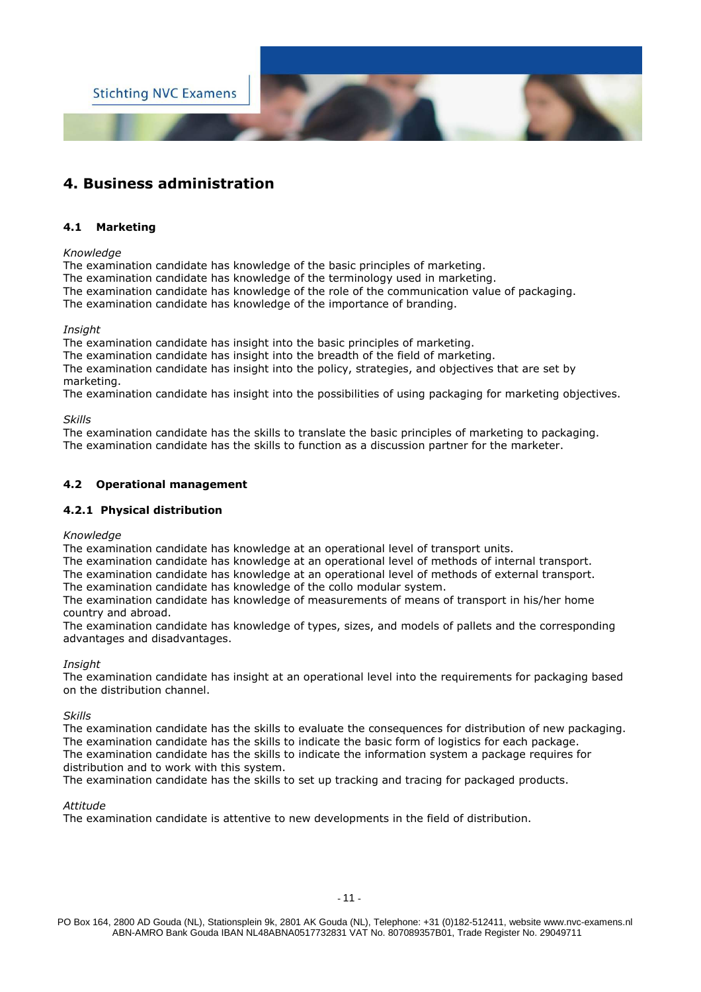

## **4. Business administration**

#### **4.1 Marketing**

#### *Knowledge*

The examination candidate has knowledge of the basic principles of marketing.

The examination candidate has knowledge of the terminology used in marketing.

The examination candidate has knowledge of the role of the communication value of packaging.

The examination candidate has knowledge of the importance of branding.

#### *Insight*

The examination candidate has insight into the basic principles of marketing.

The examination candidate has insight into the breadth of the field of marketing.

The examination candidate has insight into the policy, strategies, and objectives that are set by marketing.

The examination candidate has insight into the possibilities of using packaging for marketing objectives.

#### *Skills*

The examination candidate has the skills to translate the basic principles of marketing to packaging. The examination candidate has the skills to function as a discussion partner for the marketer.

#### **4.2 Operational management**

#### **4.2.1 Physical distribution**

#### *Knowledge*

The examination candidate has knowledge at an operational level of transport units.

The examination candidate has knowledge at an operational level of methods of internal transport.

The examination candidate has knowledge at an operational level of methods of external transport. The examination candidate has knowledge of the collo modular system.

The examination candidate has knowledge of measurements of means of transport in his/her home country and abroad.

The examination candidate has knowledge of types, sizes, and models of pallets and the corresponding advantages and disadvantages.

#### *Insight*

The examination candidate has insight at an operational level into the requirements for packaging based on the distribution channel.

#### *Skills*

The examination candidate has the skills to evaluate the consequences for distribution of new packaging. The examination candidate has the skills to indicate the basic form of logistics for each package. The examination candidate has the skills to indicate the information system a package requires for distribution and to work with this system.

The examination candidate has the skills to set up tracking and tracing for packaged products.

#### *Attitude*

The examination candidate is attentive to new developments in the field of distribution.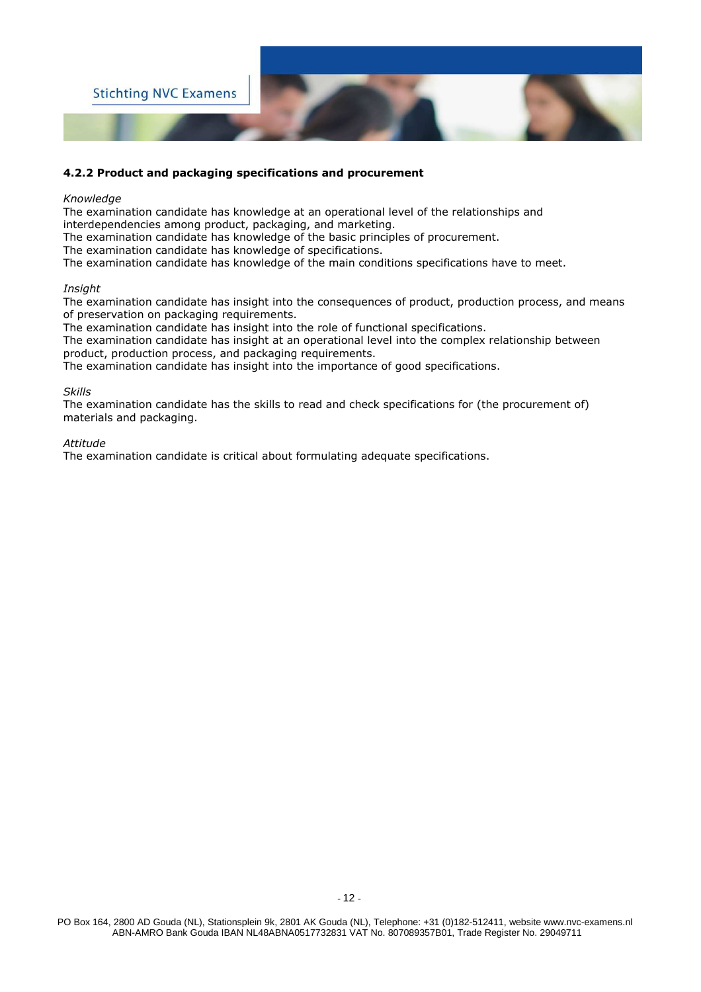

#### **4.2.2 Product and packaging specifications and procurement**

#### *Knowledge*

The examination candidate has knowledge at an operational level of the relationships and

interdependencies among product, packaging, and marketing.

The examination candidate has knowledge of the basic principles of procurement.

The examination candidate has knowledge of specifications.

The examination candidate has knowledge of the main conditions specifications have to meet.

#### *Insight*

The examination candidate has insight into the consequences of product, production process, and means of preservation on packaging requirements.

The examination candidate has insight into the role of functional specifications.

The examination candidate has insight at an operational level into the complex relationship between product, production process, and packaging requirements.

The examination candidate has insight into the importance of good specifications.

#### *Skills*

The examination candidate has the skills to read and check specifications for (the procurement of) materials and packaging.

#### *Attitude*

The examination candidate is critical about formulating adequate specifications.